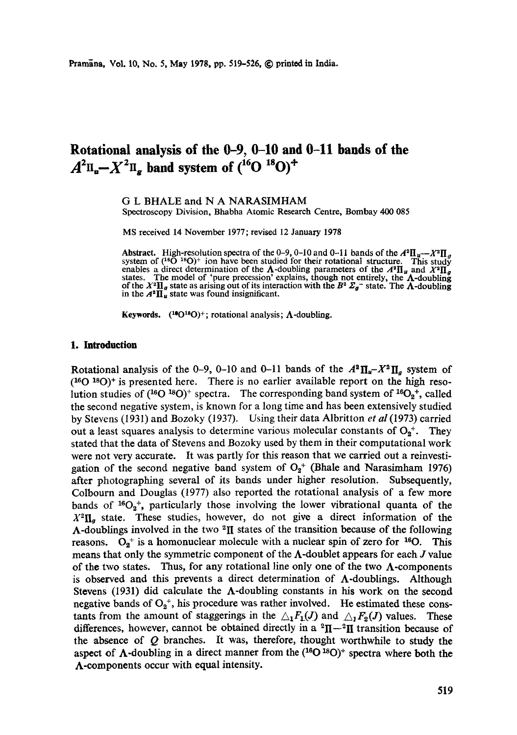# **Rotational analysis of the 0-9, 0-10 and 0-11 bands of the**   $A^2\Pi_{\alpha} - X^2\Pi_{\alpha}$  band system of  $({}^{16}O \, {}^{18}O)^+$

G L BHALE and N A NARASIMHAM Spectroscopy Division, Bhabha Atomic Research Centre, Bombay 400 085

MS received 14 November 1977; revised 12 January 1978

Abstract. High-resolution spectra of the 0-9, 0-10 and 0-11 bands of the  $A^2\Pi_u - X^2\Pi_d$ system of  $(^{16}O^{18}O)^+$  ion have been studied for their rotational structure. This study enables a direct determination of the  $\Lambda$ -doubling parameters of the  $A^a\Pi_u$  and  $X^a\Pi_g$  states. The model of 'pure precession' explains, though not entirely, the  $\Lambda$ -doubling of the  $X^a\Pi_g$  state as arising out of i

**Keywords.**  $(^{10}O^{18}O)^+$ ; rotational analysis;  $\Lambda$ -doubling.

## **1. Introduction**

Rotational analysis of the 0-9, 0-10 and 0-11 bands of the  $A^2 \Pi_u - X^2 \Pi_a$  system of  $($ 16O 18O $)$ <sup>+</sup> is presented here. There is no earlier available report on the high resolution studies of  $(^{16}O^{18}O)^+$  spectra. The corresponding band system of  $^{16}O_2^+$ , called the second negative system, is known for a long time and has been extensively studied by Stevens (1931) and Bozoky (1937). Using their data Albritton *et al* (1973) carried out a least squares analysis to determine various molecular constants of  $O_2^+$ . They stated that the data of Stevens and Bozoky used by them in their computational work were not very accurate. It was partly for this reason that we carried out a reinvestigation of the second negative band system of  $O_2$ <sup>+</sup> (Bhale and Narasimham 1976) after photographing several of its bands under higher resolution. Subsequently, Colbourn and Douglas (1977) also reported the rotational analysis of a few more bands of  $^{16}O_2$ <sup>+</sup>, particularly those involving the lower vibrational quanta of the  $X^2\Pi_{\alpha}$  state. These studies, however, do not give a direct information of the  $\Lambda$ -doublings involved in the two <sup>2</sup>II states of the transition because of the following reasons.  $O_2^+$  is a homonuclear molecule with a nuclear spin of zero for <sup>16</sup>O. This means that only the symmetric component of the  $\Lambda$ -doublet appears for each  $J$  value of the two states. Thus, for any rotational line only one of the two  $\Lambda$ -components is observed and this prevents a direct determination of  $\Lambda$ -doublings. Although Stevens (1931) did calculate the  $\Lambda$ -doubling constants in his work on the second negative bands of  $O_2^+$ , his procedure was rather involved. He estimated these constants from the amount of staggerings in the  $\mathcal{L}_1F_1(J)$  and  $\mathcal{L}_1F_2(J)$  values. These differences, however, cannot be obtained directly in a  ${}^{2}\Pi - {}^{2}\Pi$  transition because of the absence of Q branches. It was, therefore, thought worthwhile to study the aspect of  $\Lambda$ -doubling in a direct manner from the  $(^{16}O^{18}O)^+$  spectra where both the A-components occur with equal intensity.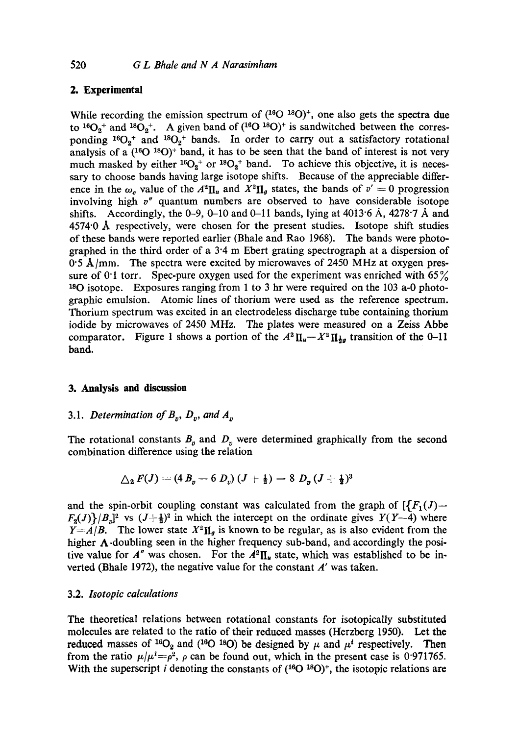# 2. Experimental and the experimental and the experimental control on the experimental (based on  $\mathbb{R}$ )

While recording the emission spectrum of  $(^{16}O \, ^{18}O)^+$ , one also gets the spectra due While recording the emission spectrum of  $(^{16}O \text{ }^{18}O)^+$ , one also gets the spectra due to  $^{16}O_2$ <sup>+</sup> and  $^{18}O_2$ <sup>+</sup>. A given band of  $(^{16}O \text{ }^{18}O)^+$  is sandwitched between the corresto <sup>16</sup>O<sub>2</sub><sup>+</sup> and <sup>18</sup>O<sub>2</sub><sup>+</sup>. A given band of (<sup>16</sup>O <sup>18</sup>O)<sup>+</sup> is sandwitched between the corresponding <sup>16</sup>O<sub>2</sub><sup>+</sup> and <sup>18</sup>O<sub>2</sub><sup>+</sup> bands. In order to carry out a satisfactory rotational analysis of a  $(^{16}O^{18}O)^+$  band, it has to be seen that the band of interest is not very analysis of a (<sup>16</sup>O <sup>18</sup>O)<sup>+</sup> band, it has to be seen that the band of interest is not very much masked by either <sup>16</sup>O<sub>2</sub><sup>+</sup> or <sup>18</sup>O<sub>2</sub><sup>+</sup> band. To achieve this objective, it is necessary to choose bands having large isotope shifts. Because of the appreciable differshifts. Accordingly, the 0-9, 0-10 and 0-11 bands, lying at  $4013.6$  Å,  $4278.7$  Å and 4574<sup>.</sup>0 Å respectively, were chosen for the present studies. Isotope shift studies of these bands were reported earlier (Bhale and Rao 1968). The bands were photographed in the third order of a 3<sup>-4</sup> m Ebert grating spectrograph at a dispersion of 0.5 Å/mm. The spectra were excited by microwaves of 2450 MHz at oxygen pres-Bozoky L v 1937 *Z. Phys.* 104 275 sure of 0<sup>.</sup>1 torr. Spec-pure oxygen used for the experiment was enriched with 65% <sup>18</sup>O isotope. Exposures ranging from 1 to 3 hr were required on the 103 a-0 photographic emulsion. Atomic lines of thorium were used as the reference spectrum. Thorium spectrum was excited in an electrodeless discharge tube containing thorium iodide by microwaves of 2450 MHz. The plates were measured on a Zeiss Abbe  $\frac{1}{2}$ comparator. Figure 1 shows a portion of the  $A^2 \Pi_u - X^2 \Pi_{\frac{1}{2}g}$  transition of the 0-11 ence in the  $\omega_e$  value of the  $A^2 \Pi_u$  and  $X^2 \Pi_g$  states, the bands of  $v' = 0$  progression involving high *v"* quantum numbers are observed to have considerable isotope band.

## 3. Analysis **and** discussion

# 3.1. *Determination of*  $B_v$ ,  $D_v$ , and  $A_v$

The rotational constants  $B_p$  and  $D_v$  were determined graphically from the second combination difference using the relation

$$
\Delta_2 F(J) = (4 B_p - 6 D_v) (J + \frac{1}{2}) - 8 D_p (J + \frac{1}{2})^3
$$

and the spin-orbit coupling constant was calculated from the graph of  $\left\{ \int F_1(J)$ - $F_2(J)$ / $B_n$ ]<sup>2</sup> vs  $(J+\frac{1}{2})^2$  in which the intercept on the ordinate gives  $Y(Y-4)$  where *Y*=*A*/*B*. The lower state  $X^2 \Pi_g$  is known to be regular, as is also evident from the higher  $\Lambda$ -doubling seen in the higher frequency sub-band, and accordingly the positive value for  $A''$  was chosen. For the  $A^2\Pi_u$  state, which was established to be inverted (Bhale 1972), the negative value for the constant *A'* was taken.

## *3.2. Isotopic calculations*

The theoretical relations between rotational constants for isotopically substituted molecules are related to the ratio of their reduced masses (Herzberg 1950). Let the reduced masses of <sup>16</sup>O<sub>2</sub> and (<sup>16</sup>O<sup>18</sup>O) be designed by  $\mu$  and  $\mu^i$  respectively. Then from the ratio  $\mu/\mu^1 = \rho^2$ ,  $\rho$  can be found out, which in the present case is 0.971765. With the superscript *i* denoting the constants of  $(^{16}O^{18}O)^+$ , the isotopic relations are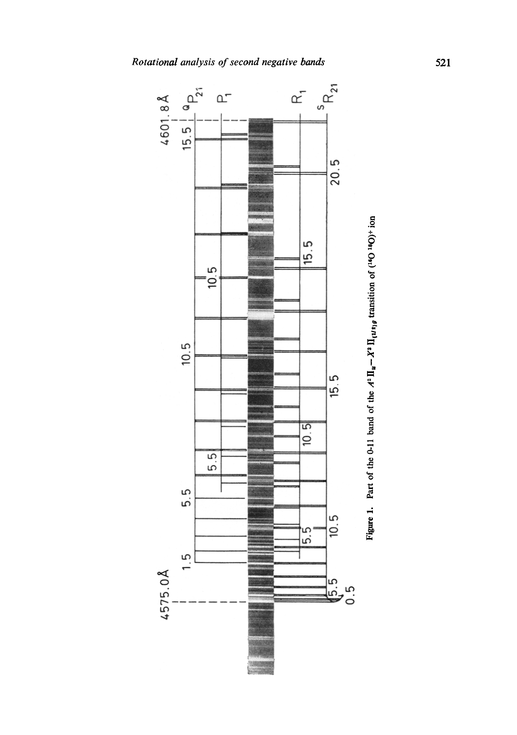

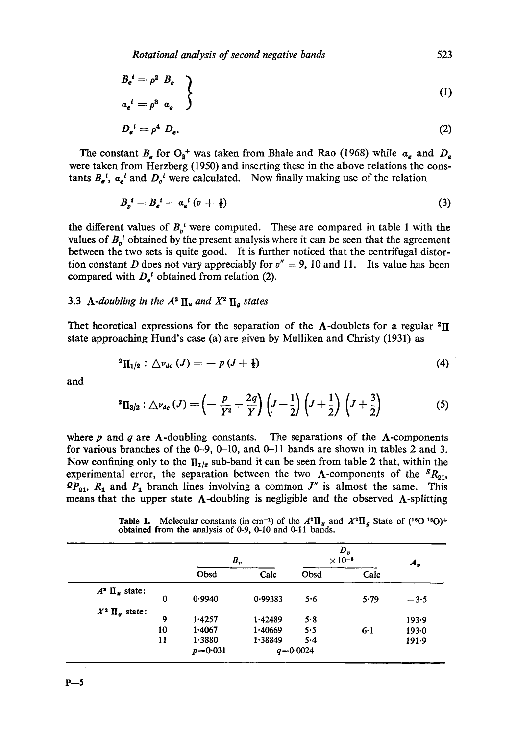526 *G L Bhale and N A Narasimham Rotational analysis of second negative bands* 523

$$
B_e^{\ \ t} = \rho^2 \ B_e
$$
  
\n
$$
a_e^{\ \ i} = \rho^3 \ a_e
$$
 (1)

$$
D_e{}^t = \rho^4 \ D_e. \tag{2}
$$

The constant  $B_e$  for  $O_2$ <sup>+</sup> was taken from Bhale and Rao (1968) while  $\alpha_e$  and  $D_e$ were taken from Herzberg (1950) and inserting these in the above relations the constants  $B_e^i$ ,  $a_e^i$  and  $D_e^i$  were calculated. Now finally making use of the relation

$$
B_{v}^{i}=B_{e}^{i}-a_{e}^{i}\left(v+\frac{1}{2}\right) \tag{3}
$$

the different values of  $B_o^i$  were computed. These are compared in table 1 with the values of  $B_p^i$  obtained by the present analysis where it can be seen that the agreement between the two sets is quite good. It is further noticed that the centrifugal distortion constant *D* does not vary appreciably for  $v'' = 9$ , 10 and 11. Its value has been Bozoky L v 1937 *Z. Phys.* 104 275 compared with  $D_e^i$  obtained from relation (2).

#### 3.3  $\Lambda$ -doubling in the  $A^2 \Pi_u$  and  $X^2 \Pi_g$  states Mulliken R S and Christy A 1931 *Phys. Rev.* 38 87

Thet heoretical expressions for the separation of the  $\Lambda$ -doublets for a regular <sup>2</sup>II Press) state approaching Hund's case (a) are given by Mulliken and Christy (1931) as

$$
{}^{2}\Pi_{1/2}: \bigtriangleup v_{dc}(J) = -p(J+\frac{1}{2}) \tag{4}
$$

and

$$
{}^{2}\Pi_{3/2} : \triangle \nu_{dc}(J) = \left(-\frac{p}{Y^{2}} + \frac{2q}{Y}\right)\left(J - \frac{1}{2}\right)\left(J + \frac{1}{2}\right)\left(J + \frac{3}{2}\right) \tag{5}
$$

where  $p$  and  $q$  are  $\Lambda$ -doubling constants. The separations of the  $\Lambda$ -components for various branches of the 0-9, 0-10, and O-ll bands are shown in tables 2 and 3. Now confining only to the  $\prod_{1/2}$  sub-band it can be seen from table 2 that, within the experimental error, the separation between the two  $\Lambda$ -components of the  ${}^S R_{21}$ ,  $\Omega P_{21}$ ,  $R_1$  and  $P_1$  branch lines involving a common  $J''$  is almost the same. This means that the upper state  $\Lambda$ -doubling is negligible and the observed  $\Lambda$ -splitting

**Table 1.** Molecular constants (in cm<sup>-1</sup>) of the  $A^2\Pi_u$  and  $X^2\Pi_g$  State of (<sup>16</sup>O<sup>18</sup>O)<sup>+</sup> obtained from the analysis of 0-9, 0-10 and 0-11 bands.

|                          |          | $B_v$       |         | $D_{\nu}$<br>$\times 10^{-6}$ | $A_v$ |           |  |
|--------------------------|----------|-------------|---------|-------------------------------|-------|-----------|--|
|                          |          | Obsd        | Calc    | Obsd                          | Calc  |           |  |
| $A^2 \prod_{\mu}$ state: | $\bf{0}$ | 0.9940      | 0.99383 | 5.6                           | 5.79  | $-3.5$    |  |
| $X^*$ $\Pi_q$ state:     | 9        | 1.4257      | 1.42489 | 5.8                           |       | 193.9     |  |
|                          | 10       | 1.4067      | 1.40669 | 5.5                           | 6.1   | $193 - 0$ |  |
|                          | 11       | 1.3880      | 1.38849 | 5.4                           |       | 191.9     |  |
|                          |          | $p = 0.031$ |         | $q = 0.0024$                  |       |           |  |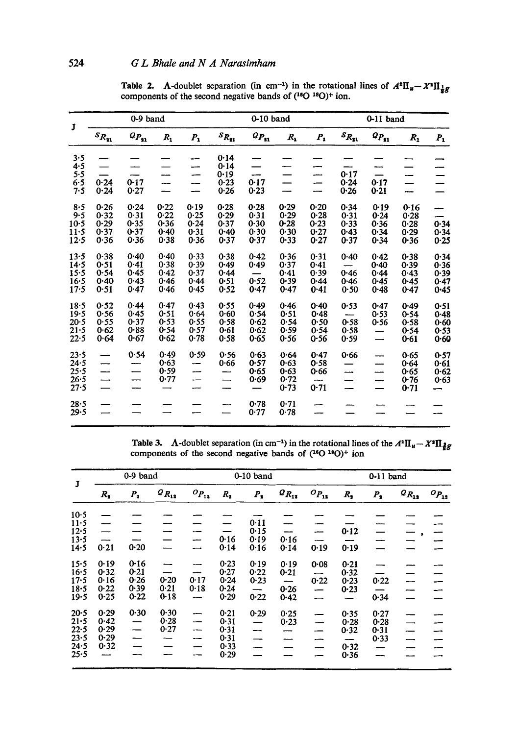| J        | 0-9 band                 |                                       |          |                          |                        | 0-10 band                         |         |         | $0-11$ band             |                                |         |         |
|----------|--------------------------|---------------------------------------|----------|--------------------------|------------------------|-----------------------------------|---------|---------|-------------------------|--------------------------------|---------|---------|
|          | $\mathfrak{s}_{R_{21}}$  | $\mathfrak{o}_{P_{\mathfrak{g}_{1}}}$ | $R_{1}$  | $P_{1}$                  | $\mathcal{S}_{R_{31}}$ | $\mathfrak{o}_{P_{\mathfrak{U}}}$ | $R_{1}$ | $P_{1}$ | $\mathfrak{s}_{R_{21}}$ | $\mathbf{\mathit{Q}}_{P_{31}}$ | $R_{1}$ | $P_{1}$ |
| 3.5      |                          |                                       |          | --                       | 0.14                   |                                   |         |         |                         |                                |         |         |
| 4.5      |                          |                                       |          | ---                      | 0.14                   |                                   |         |         |                         |                                |         |         |
| 5.5      |                          |                                       |          |                          | 0.19                   | --                                |         | ----    | 0.17                    |                                |         |         |
| 6.5      | 0.24                     | 0.17                                  |          | --                       | 0.23                   | 0.17                              | —       | --      | 0.24                    | 0.17                           |         |         |
| 7.5      | 0.24                     | 0.27                                  | —        | —<br>—                   | 0.26                   | 0.23                              | --      | --      | 0.26                    | 0.21                           | ----    |         |
| 8.5      | 0.26                     | 0.24                                  | 0.22     | 0.19                     | 0.28                   | 0.28                              | 0.29    | 0.20    | 0.34                    | 0.19                           | 0.16    |         |
| 9.5      | 0.32                     | 0.31                                  | 0.22     | 0.25                     | 0.29                   | 0.31                              | 0.29    | 0.28    | 0.31                    | 0.24                           | 0.28    |         |
| $10-5$   | 0.29                     | 0.35                                  | 0.36     | 0.24                     | 0.37                   | 0.30                              | 0.28    | 0.23    | 0.33                    | 0.36                           | 0.28    | 0.34    |
| $11 - 5$ | 0.37                     | 0.37                                  | $0 - 40$ | 0.31                     | $0 - 40$               | 0.30                              | 0.30    | 0.27    | $0 - 43$                | 0.34                           | 0.29    | 0.34    |
| 12.5     | 0.36                     | 0.36                                  | 0.38     | 0.36                     | 0.37                   | 0.37                              | 0.33    | 0.27    | 0.37                    | 0.34                           | 0.36    | 0.25    |
| 13.5     | 0.38                     | 0.40                                  | 0.40     | 0.33                     | 0.38                   | 0.42                              | 0.36    | 0.31    | 0.40                    | 0.42                           | 0.38    | 0.34    |
| 14.5     | 0.51                     | 0.41                                  | 0.38     | 0.39                     | $0 - 49$               | 0.49                              | 0.37    | 0.41    |                         | 0.40                           | 0.39    | 0.36    |
| 15.5     | 0.54                     | 0.45                                  | 0.42     | $0 - 37$                 | 0.44                   |                                   | 0.41    | 0.39    | 0.46                    | 0.44                           | 0.43    | 0.39    |
| 16.5     | 0.40                     | 0.43                                  | 0.46     | 0.44                     | 0.51                   | 0.52                              | 0.39    | 0.44    | 0.46                    | 0.45                           | 0.45    | 0.47    |
| $17 - 5$ | 0.51                     | 0.47                                  | 0.46     | 0.45                     | 0.52                   | 0.47                              | 0.47    | 0.41    | 0.50                    | 0.48                           | 0.47    | 0.45    |
| 18.5     | 0.52                     | 0.44                                  | 0.47     | 0.43                     | 0.55                   | 0.49                              | 0.46    | 0.40    | 0.53                    | 0.47                           | 0.49    | 0.51    |
| 19.5     | 0.56                     | 0.45                                  | 0.51     | 0.64                     | 0.60                   | 0.54                              | 0.51    | 0.48    |                         | 0.53                           | 0.54    | 0.48    |
| $20 - 5$ | 0.55                     | 0.37                                  | 0.53     | 0.55                     | 0.58                   | 0.62                              | 0.54    | 0.50    | 0.58                    | 0.56                           | 0.58    | 0.60    |
| 21.5     | 0.62                     | 0.88                                  | 0.54     | 0.57                     | 0.61                   | 0.62                              | 0.59    | 0.54    | 0.58                    |                                | 0.54    | 0.53    |
| 22.5     | 0.64                     | 0.67                                  | 0.62     | 0.78                     | 0.58                   | 0.65                              | 0.56    | 0.56    | 0.59                    | $\overline{\phantom{0}}$       | 0.61    | 0.60    |
| 23.5     | —                        | 0.54                                  | 0.49     | $0 - 59$                 | 0.56                   | 0.63                              | 0.64    | 0.47    | 0.66                    | ----                           | 0.65    | 0.57    |
| 24.5     | —                        | -----                                 | 0.63     | --                       | 0.66                   | 0.57                              | 0.63    | 0.58    |                         | --                             | 0.64    | 0.61    |
| 25.5     | ——                       |                                       | 0.59     | --                       |                        | 0.65                              | 0.63    | 0.66    | ---                     | -----                          | 0.65    | 0.62    |
| 26.5     | $\overline{\phantom{0}}$ | ---                                   | 0.77     | $\overline{\phantom{0}}$ | —                      | 0.69                              | 0.72    |         |                         |                                | 0.76    | 0.63    |
| 27.5     |                          |                                       |          |                          |                        |                                   | 0.73    | 0.71    |                         | —                              | 0.71    |         |
| $28 - 5$ |                          |                                       |          |                          |                        | 0.78                              | 0.71    |         |                         |                                |         |         |
| 29.5     |                          |                                       |          |                          |                        | 0.77                              | 0.78    |         |                         |                                |         |         |
|          |                          |                                       |          |                          |                        |                                   |         |         |                         |                                |         |         |

Table 2. A-doublet separation (in cm<sup>-1</sup>) in the rotational lines of  $A^* \Pi_u - X^* \Pi_{\frac{1}{2}g}$ components of the second negative bands of  $(40.40)$ + ion.

**Table 3.** A-doublet separation (in cm<sup>-1</sup>) in the rotational lines of the  $A^2 \Pi_u - X^2 \Pi_{\frac{3}{2}g}$ components of the second negative bands of  $(^{16}O^{18}O)^+$  ion

| ${\bf J}$ | 0-9 band |                          |              |                          | 0-10 band    |                          |              |                          | $0-11$ band |         |              |              |
|-----------|----------|--------------------------|--------------|--------------------------|--------------|--------------------------|--------------|--------------------------|-------------|---------|--------------|--------------|
|           | $R_{2}$  | $P_{2}$                  | $Q_{R_{12}}$ | $o_{P_{12}}$             | $R_{2}$      | $P_{2}$                  | $Q_{R_{12}}$ | $o_{P_{12}}$             | $R_{2}$     | $P_{2}$ | $Q_{R_{12}}$ | $o_{P_{12}}$ |
| $10-5$    |          |                          |              |                          |              |                          |              |                          |             |         |              |              |
| $11 - 5$  |          |                          |              |                          |              | 0.11                     |              |                          |             |         |              |              |
| $12 - 5$  |          |                          |              |                          |              | 0.15                     |              | ---                      | 0.12        |         |              |              |
| 13.5      | ----     |                          |              |                          | 0.16         | 0.19                     | 0.16         |                          |             |         |              |              |
| 14.5      | 0.21     | 0.20                     |              |                          | 0.14         | 0.16                     | 0.14         | 0.19                     | 0.19        |         |              |              |
| $15 - 5$  | 0.19     | 0.16                     |              |                          | 0.23         | 0.19                     | 0.19         | 0.08                     | 0.21        |         |              |              |
| $16 - 5$  | 0.32     | 0.21                     |              | ---                      | 0.27         | 0.22                     | 0.21         | $\overline{\phantom{0}}$ | 0.32        |         |              |              |
| $17 - 5$  | 0.16     | 0.26                     | 0.20         | $0-17$                   | 0.24         | 0.23                     |              | 0.22                     | 0.23        | 0.22    |              |              |
| 18.5      | 0.22     | 0.39                     | 0.21         | 0.18                     | 0.24         | -                        | 0.26         | $\overline{\phantom{0}}$ | 0.23        |         |              |              |
| $19 - 5$  | $0 - 25$ | 0.22                     | 0.18         | $\overline{\phantom{0}}$ | $0 - 29$     | 0.22                     | 0.42         |                          |             | 0.34    |              |              |
| 20.5      | 0.29     | 0.30                     | 0.30         |                          | 0.21         | 0.29                     | 0.25         |                          | 0.35        | 0.27    |              |              |
| $21 - 5$  | 0.42     |                          | 0.28         |                          | 0.31         | $\overline{\phantom{0}}$ | 0.23         | $\overline{\phantom{0}}$ | 0.28        | 0.28    |              |              |
| $22 - 5$  | 0.29     | $\overline{\phantom{0}}$ | 0.27         | $\overline{\phantom{0}}$ | 0.31         |                          |              |                          | 0.32        | 0.31    |              |              |
|           | $0-29$   |                          |              | --                       |              |                          |              | بمسو                     |             |         |              |              |
| 24.5      | 0.32     |                          |              | $\overline{\phantom{0}}$ |              |                          |              | ---                      |             |         |              |              |
| 25.5      |          |                          |              |                          | 0.29         |                          |              |                          | 0.36        | ---     |              |              |
| 23.5      |          |                          |              |                          | 0.31<br>0.33 |                          |              |                          | 0.32        | 0.33    |              |              |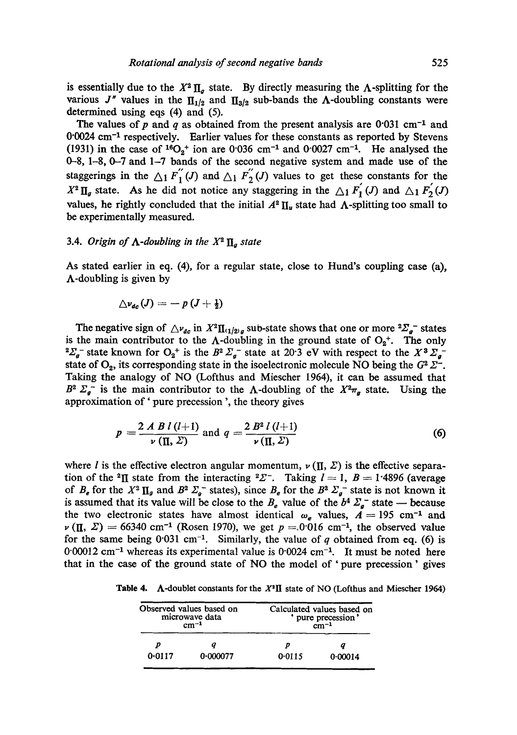is essentially due to the  $X^2 \Pi_q$  state. By directly measuring the A-splitting for the various J" values in the  $\prod_{1/2}$  and  $\prod_{3/2}$  sub-bands the A-doubling constants were determined using eqs  $(4)$  and  $(5)$ .

The values of *p* and *q* as obtained from the present analysis are 0·031 cm<sup>-1</sup> and  $0.0024$  cm<sup>-1</sup> respectively. Earlier values for these constants as reported by Stevens 0°0024 cm<sup>-1</sup> respectively. Earlier values for these constants as reported by Stevens (1931) in the case of <sup>16</sup>O<sub>2</sub><sup>+</sup> ion are 0°036 cm<sup>-1</sup> and 0°0027 cm<sup>-1</sup>. He analysed the 0-8, 1-8, 0-7 and 1-7 bands of the second negative system and made use of the staggerings in the  $\Delta_1 F_{1}^{''}(J)$  and  $\Delta_1 F_{2}^{''}(J)$  values to get these constants for the **References**  be experimentally measured.  $X^2 \Pi_g$  state. As he did not notice any staggering in the  $\Delta_1 F_1$  (*J*) and  $\Delta_1 F_2$  (*J*) values, he rightly concluded that the initial  $A^2 \prod_u$  state had  $\Lambda$ -splitting too small to

#### $B.4.$  Origin of  $\Lambda$ -doubling in the  $X<sup>2</sup>$  **N**, state Bhale G L 1972 *J. MoL Spectrosc.* 43 171 *3.4. Origin of A-doubling in the* %2 llg *state*

Bhale G L and Narasimham N A 1976 *Pramana* 7 324 As stated earlier in eq. (4), for a regular state, close to Hund's coupling case (a),  $\Lambda$ -doubling is given by

$$
\triangle\nu_{dc}(J)=-\,p\,(J+\tfrac{1}{2})
$$

Rosen B 1970 *Selected Constants: Spectroscopic Data related to Diatomic Molecules* (Pergamon The negative sign of  $\Delta v_{dc}$  in  $X^2 \Pi_{(1/2)g}$  sub-state shows that one or more  $^2\Sigma_g^-$  states is the main contributor to the  $\Lambda$ -doubling in the ground state of  $O_2^+$ . The only <sup>2</sup> $\sum_{g}$  state known for  $O_2$ <sup>+</sup> is the *B*<sup>2</sup> $\sum_{g}$  state at 20·3 eV with respect to the X<sup>3</sup> $\sum_{g}$ state of  $O_2$ , its corresponding state in the isoelectronic molecule NO being the  $G^2 \Sigma^-$ . Taking the analogy of NO (Lofthus and Miescher 1964), it can be assumed that  $B^2$   $\sum_a$  is the main contributor to the  $\Lambda$ -doubling of the  $X^2\pi_a$  state. Using the approximation of ' pure precession ', the theory gives

$$
p = \frac{2 A B l (l+1)}{\nu (\Pi, \Sigma)} \text{ and } q = \frac{2 B^2 l (l+1)}{\nu (\Pi, \Sigma)} \tag{6}
$$

where *l* is the effective electron angular momentum,  $\nu(\Pi, \Sigma)$  is the effective separation of the <sup>2</sup>II state from the interacting <sup>2</sup> $\mathbb{Z}^-$ . Taking  $l=1$ ,  $B=1.4896$  (average of  $B_e$  for the  $X^2 \Pi_g$  and  $B^2 \Sigma_g$  states), since  $B_e$  for the  $B^2 \Sigma_g$  state is not known it is assumed that its value will be close to the  $B_e$  value of the  $b^4 \Sigma_a^-$  state - because the two electronic states have almost identical  $\omega_e$  values,  $\overline{A} = 195$  cm<sup>-1</sup> and  $\nu$  (II,  $\Sigma$ ) = 66340 cm<sup>-1</sup> (Rosen 1970), we get  $p = 0.016$  cm<sup>-1</sup>, the observed value for the same being 0.031 cm<sup>-1</sup>. Similarly, the value of q obtained from eq. (6) is  $0.00012$  cm<sup>-1</sup> whereas its experimental value is  $0.0024$  cm<sup>-1</sup>. It must be noted here that in the case of the ground state of NO the model of 'pure precession' gives

**Table 4.** A-doublet constants for the  $X^2\Pi$  state of NO (Lofthus and Miescher 1964)

|        | Observed values based on<br>microwave data<br>$cm^{-1}$ | Calculated values based on<br>' pure precession'<br>$\rm cm^{-1}$ |         |  |  |  |
|--------|---------------------------------------------------------|-------------------------------------------------------------------|---------|--|--|--|
|        |                                                         |                                                                   |         |  |  |  |
| 0.0117 | 0.000077                                                | 0.0115                                                            | 0.00014 |  |  |  |